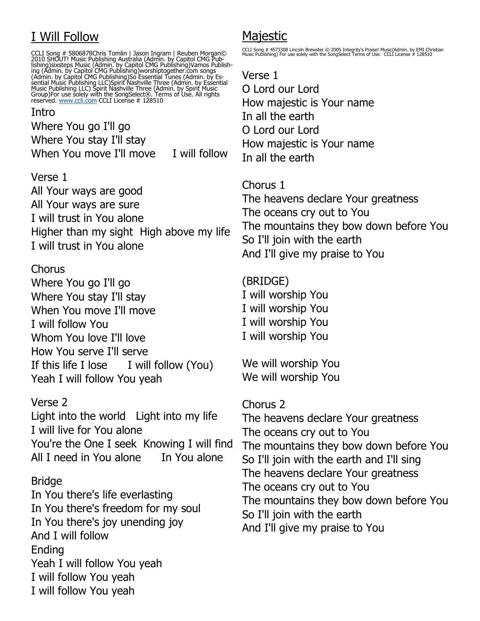# I Will Follow

CCLI Song # 5806878Chris Tomlin | Jason Ingram | Reuben Morgan©<br>2010 SHOUT! Music Publishing Australia (Admin. by Capitol CMG Pub-<br>lishing)sixsteps Music (Admin. by Capitol CMG Publishing)Vamos Publishing<br>lig (Admin. by Ca

#### Intro

Where You go I'll go Where You stay I'll stay When You move I'll move I will follow

#### Verse 1

All Your ways are good All Your ways are sure I will trust in You alone Higher than my sight High above my life I will trust in You alone

#### Chorus

Where You go I'll go Where You stay I'll stay When You move I'll move I will follow You Whom You love I'll love How You serve I'll serve If this life I lose I will follow (You) Yeah I will follow You yeah

#### Verse 2

Light into the world Light into my life I will live for You alone You're the One I seek Knowing I will find All I need in You alone In You alone

#### Bridge

In You there's life everlasting In You there's freedom for my soul In You there's joy unending joy And I will follow Ending Yeah I will follow You yeah I will follow You yeah I will follow You yeah

### Majestic

CCLI Song # 4573308 Lincoln Brewster © 2005 Integrity's Praise! Music(Admin. by EMI Christian Music Publishing) For use solely with the SongSelect Terms of Use. CCLI License # 128510

Verse 1 O Lord our Lord How majestic is Your name In all the earth O Lord our Lord How majestic is Your name In all the earth

Chorus 1

The heavens declare Your greatness The oceans cry out to You The mountains they bow down before You So I'll join with the earth And I'll give my praise to You

#### (BRIDGE)

I will worship You I will worship You I will worship You I will worship You

We will worship You We will worship You

#### Chorus 2

The heavens declare Your greatness The oceans cry out to You The mountains they bow down before You So I'll join with the earth and I'll sing The heavens declare Your greatness The oceans cry out to You The mountains they bow down before You So I'll join with the earth And I'll give my praise to You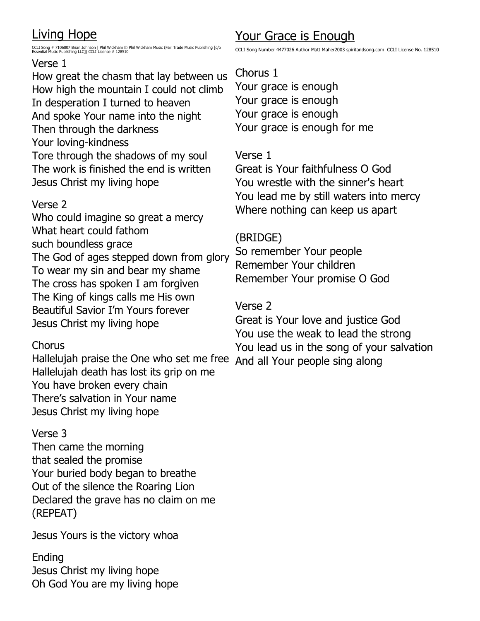# Living Hope

CCLI Song # 7106807 Brian Johnson | Phil Wickham © Phil Wickham Music (Fair Trade Music Publishing [c/o Essential Music Publishing LLC]) CCLI License # 128510

#### Verse 1

How great the chasm that lay between us How high the mountain I could not climb In desperation I turned to heaven And spoke Your name into the night Then through the darkness Your loving-kindness Tore through the shadows of my soul The work is finished the end is written Jesus Christ my living hope

#### Verse 2

Who could imagine so great a mercy What heart could fathom such boundless grace The God of ages stepped down from glory To wear my sin and bear my shame The cross has spoken I am forgiven The King of kings calls me His own Beautiful Savior I'm Yours forever Jesus Christ my living hope

#### **Chorus**

Hallelujah praise the One who set me free And all Your people sing alongHallelujah death has lost its grip on me You have broken every chain There's salvation in Your name Jesus Christ my living hope

#### Verse 3

Then came the morning that sealed the promise Your buried body began to breathe Out of the silence the Roaring Lion Declared the grave has no claim on me (REPEAT)

Jesus Yours is the victory whoa

Ending Jesus Christ my living hope Oh God You are my living hope

## Your Grace is Enough

CCLI Song Number 4477026 Author Matt Maher2003 spiritandsong.com CCLI License No. 128510

Chorus 1 Your grace is enough Your grace is enough Your grace is enough Your grace is enough for me

#### Verse 1

Great is Your faithfulness O God You wrestle with the sinner's heart You lead me by still waters into mercy Where nothing can keep us apart

### (BRIDGE)

So remember Your people Remember Your children Remember Your promise O God

### Verse 2

Great is Your love and justice God You use the weak to lead the strong You lead us in the song of your salvation